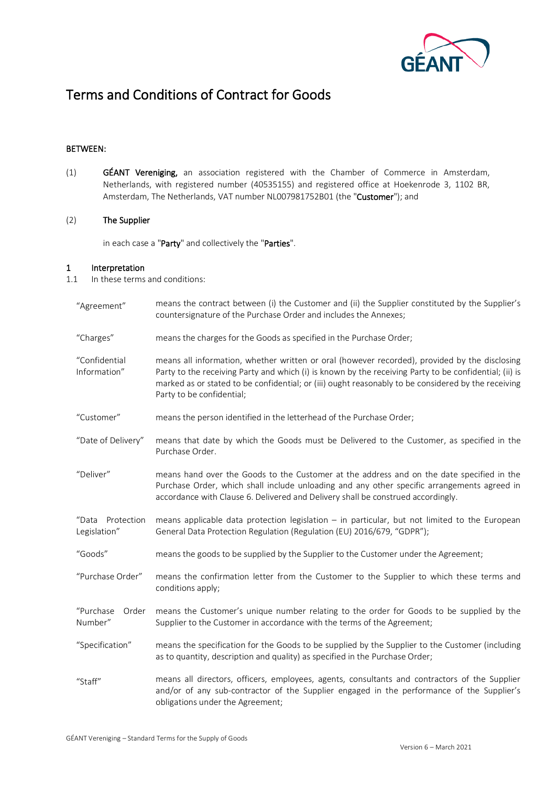

# Terms and Conditions of Contract for Goods

## BETWEEN:

(1) GÉANT Vereniging, an association registered with the Chamber of Commerce in Amsterdam, Netherlands, with registered number (40535155) and registered office at Hoekenrode 3, 1102 BR, Amsterdam, The Netherlands, VAT number NL007981752B01 (the "Customer"); and

## (2) The Supplier

in each case a "Party" and collectively the "Parties".

#### 1 Interpretation

- 1.1 In these terms and conditions:
	- "Agreement" means the contract between (i) the Customer and (ii) the Supplier constituted by the Supplier's countersignature of the Purchase Order and includes the Annexes; "Charges" means the charges for the Goods as specified in the Purchase Order; "Confidential Information" means all information, whether written or oral (however recorded), provided by the disclosing Party to the receiving Party and which (i) is known by the receiving Party to be confidential; (ii) is marked as or stated to be confidential; or (iii) ought reasonably to be considered by the receiving Party to be confidential; "Customer" "Date of Delivery" means the person identified in the letterhead of the Purchase Order; means that date by which the Goods must be Delivered to the Customer, as specified in the Purchase Order. "Deliver" means hand over the Goods to the Customer at the address and on the date specified in the Purchase Order, which shall include unloading and any other specific arrangements agreed in accordance with Claus[e 6.](#page-3-0) Delivered and Delivery shall be construed accordingly. "Data Protection Legislation" means applicable data protection legislation – in particular, but not limited to the European General Data Protection Regulation (Regulation (EU) 2016/679, "GDPR"); "Goods" means the goods to be supplied by the Supplier to the Customer under the Agreement; "Purchase Order" means the confirmation letter from the Customer to the Supplier to which these terms and conditions apply; "Purchase Order Number" means the Customer's unique number relating to the order for Goods to be supplied by the Supplier to the Customer in accordance with the terms of the Agreement; "Specification" means the specification for the Goods to be supplied by the Supplier to the Customer (including as to quantity, description and quality) as specified in the Purchase Order; "Staff" means all directors, officers, employees, agents, consultants and contractors of the Supplier and/or of any sub-contractor of the Supplier engaged in the performance of the Supplier's obligations under the Agreement;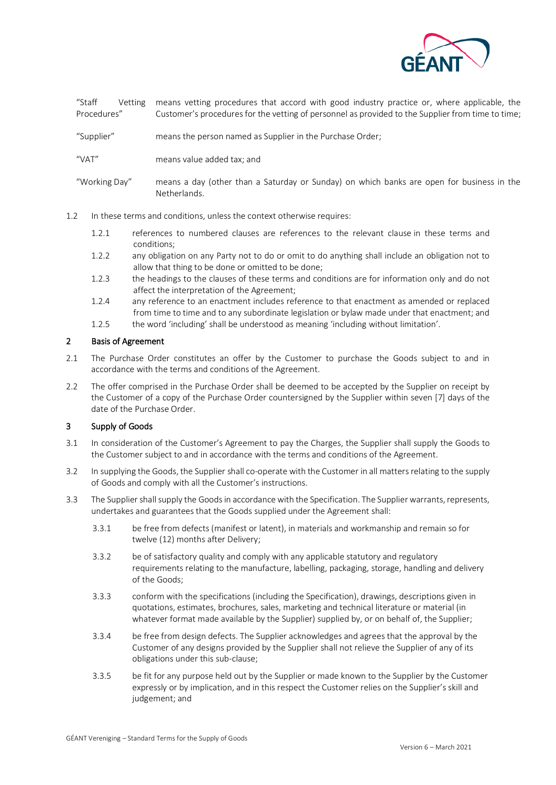

"Staff Vetting Procedures" means vetting procedures that accord with good industry practice or, where applicable, the Customer's procedures for the vetting of personnel as provided to the Supplier from time to time;

"Supplier" means the person named as Supplier in the Purchase Order;

"VAT" means value added tax; and

"Working Day" means a day (other than a Saturday or Sunday) on which banks are open for business in the Netherlands.

- 1.2 In these terms and conditions, unless the context otherwise requires:
	- 1.2.1 references to numbered clauses are references to the relevant clause in these terms and conditions;
	- 1.2.2 any obligation on any Party not to do or omit to do anything shall include an obligation not to allow that thing to be done or omitted to be done;
	- 1.2.3 the headings to the clauses of these terms and conditions are for information only and do not affect the interpretation of the Agreement;
	- 1.2.4 any reference to an enactment includes reference to that enactment as amended or replaced from time to time and to any subordinate legislation or bylaw made under that enactment; and
	- 1.2.5 the word 'including' shall be understood as meaning 'including without limitation'.

## <span id="page-1-1"></span>2 Basis of Agreement

- 2.1 The Purchase Order constitutes an offer by the Customer to purchase the Goods subject to and in accordance with the terms and conditions of the Agreement.
- 2.2 The offer comprised in the Purchase Order shall be deemed to be accepted by the Supplier on receipt by the Customer of a copy of the Purchase Order countersigned by the Supplier within seven [7] days of the date of the Purchase Order.

#### <span id="page-1-0"></span>3 Supply of Goods

- 3.1 In consideration of the Customer's Agreement to pay the Charges, the Supplier shall supply the Goods to the Customer subject to and in accordance with the terms and conditions of the Agreement.
- <span id="page-1-2"></span>3.2 In supplying the Goods, the Supplier shall co-operate with the Customer in all matters relating to the supply of Goods and comply with all the Customer's instructions.
- <span id="page-1-3"></span>3.3 The Supplier shall supply the Goods in accordance with the Specification. The Supplier warrants, represents, undertakes and guarantees that the Goods supplied under the Agreement shall:
	- 3.3.1 be free from defects (manifest or latent), in materials and workmanship and remain so for twelve (12) months after Delivery;
	- 3.3.2 be of satisfactory quality and comply with any applicable statutory and regulatory requirements relating to the manufacture, labelling, packaging, storage, handling and delivery of the Goods;
	- 3.3.3 conform with the specifications (including the Specification), drawings, descriptions given in quotations, estimates, brochures, sales, marketing and technical literature or material (in whatever format made available by the Supplier) supplied by, or on behalf of, the Supplier;
	- 3.3.4 be free from design defects. The Supplier acknowledges and agrees that the approval by the Customer of any designs provided by the Supplier shall not relieve the Supplier of any of its obligations under this sub-clause;
	- 3.3.5 be fit for any purpose held out by the Supplier or made known to the Supplier by the Customer expressly or by implication, and in this respect the Customer relies on the Supplier's skill and judgement; and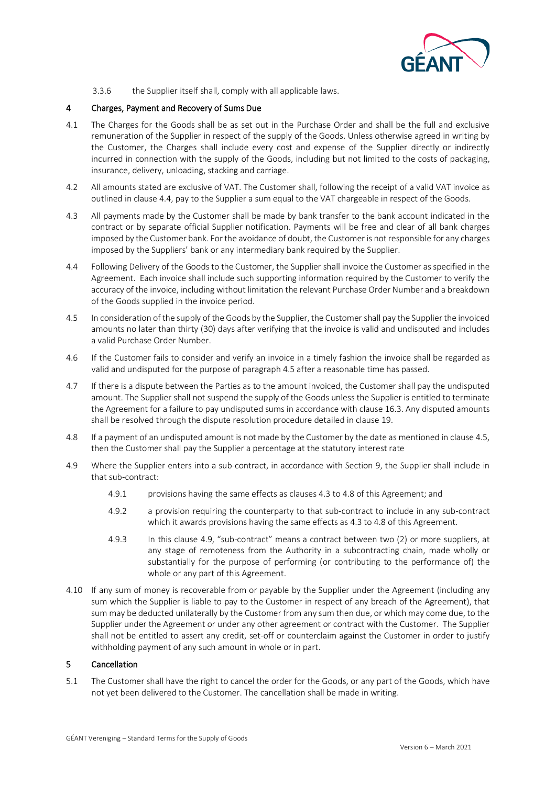

3.3.6 the Supplier itself shall, comply with all applicable laws.

## 4 Charges, Payment and Recovery of Sums Due

- 4.1 The Charges for the Goods shall be as set out in the Purchase Order and shall be the full and exclusive remuneration of the Supplier in respect of the supply of the Goods. Unless otherwise agreed in writing by the Customer, the Charges shall include every cost and expense of the Supplier directly or indirectly incurred in connection with the supply of the Goods, including but not limited to the costs of packaging, insurance, delivery, unloading, stacking and carriage.
- 4.2 All amounts stated are exclusive of VAT. The Customer shall, following the receipt of a valid VAT invoice as outlined in clause 4.4, pay to the Supplier a sum equal to the VAT chargeable in respect of the Goods.
- 4.3 All payments made by the Customer shall be made by bank transfer to the bank account indicated in the contract or by separate official Supplier notification. Payments will be free and clear of all bank charges imposed by the Customer bank. For the avoidance of doubt, the Customer is not responsible for any charges imposed by the Suppliers' bank or any intermediary bank required by the Supplier.
- 4.4 Following Delivery of the Goods to the Customer, the Supplier shall invoice the Customer as specified in the Agreement. Each invoice shall include such supporting information required by the Customer to verify the accuracy of the invoice, including without limitation the relevant Purchase Order Number and a breakdown of the Goods supplied in the invoice period.
- 4.5 In consideration of the supply of the Goods by the Supplier, the Customer shall pay the Supplier the invoiced amounts no later than thirty (30) days after verifying that the invoice is valid and undisputed and includes a valid Purchase Order Number.
- 4.6 If the Customer fails to consider and verify an invoice in a timely fashion the invoice shall be regarded as valid and undisputed for the purpose of paragraph 4.5 after a reasonable time has passed.
- 4.7 If there is a dispute between the Parties as to the amount invoiced, the Customer shall pay the undisputed amount. The Supplier shall not suspend the supply of the Goods unless the Supplier is entitled to terminate the Agreement for a failure to pay undisputed sums in accordance with claus[e 16.3.](#page-8-0) Any disputed amounts shall be resolved through the dispute resolution procedure detailed in clause [19.](#page-9-0)
- 4.8 If a payment of an undisputed amount is not made by the Customer by the date as mentioned in clause 4.5, then the Customer shall pay the Supplier a percentage at the statutory interest rate
- 4.9 Where the Supplier enters into a sub-contract, in accordance with Section 9, the Supplier shall include in that sub-contract:
	- 4.9.1 provisions having the same effects as clauses 4.3 to 4.8 of this Agreement; and
	- 4.9.2 a provision requiring the counterparty to that sub-contract to include in any sub-contract which it awards provisions having the same effects as 4.3 to 4.8 of this Agreement.
	- 4.9.3 In this clause 4.9, "sub-contract" means a contract between two (2) or more suppliers, at any stage of remoteness from the Authority in a subcontracting chain, made wholly or substantially for the purpose of performing (or contributing to the performance of) the whole or any part of this Agreement.
- 4.10 If any sum of money is recoverable from or payable by the Supplier under the Agreement (including any sum which the Supplier is liable to pay to the Customer in respect of any breach of the Agreement), that sum may be deducted unilaterally by the Customer from any sum then due, or which may come due, to the Supplier under the Agreement or under any other agreement or contract with the Customer. The Supplier shall not be entitled to assert any credit, set-off or counterclaim against the Customer in order to justify withholding payment of any such amount in whole or in part.

## 5 Cancellation

5.1 The Customer shall have the right to cancel the order for the Goods, or any part of the Goods, which have not yet been delivered to the Customer. The cancellation shall be made in writing.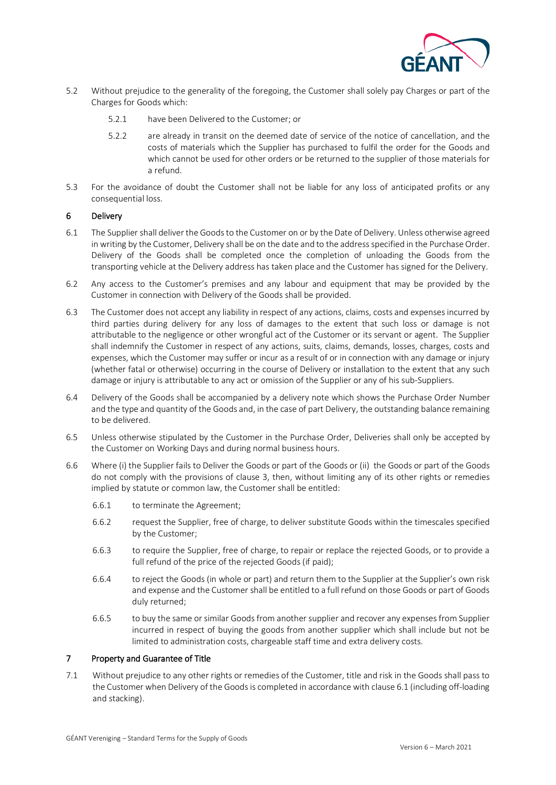

- 5.2 Without prejudice to the generality of the foregoing, the Customer shall solely pay Charges or part of the Charges for Goods which:
	- 5.2.1 have been Delivered to the Customer; or
	- 5.2.2 are already in transit on the deemed date of service of the notice of cancellation, and the costs of materials which the Supplier has purchased to fulfil the order for the Goods and which cannot be used for other orders or be returned to the supplier of those materials for a refund.
- 5.3 For the avoidance of doubt the Customer shall not be liable for any loss of anticipated profits or any consequential loss.

## <span id="page-3-0"></span>6 Delivery

- 6.1 The Supplier shall deliver the Goods to the Customer on or by the Date of Delivery. Unless otherwise agreed in writing by the Customer, Delivery shall be on the date and to the address specified in the Purchase Order. Delivery of the Goods shall be completed once the completion of unloading the Goods from the transporting vehicle at the Delivery address has taken place and the Customer has signed for the Delivery.
- 6.2 Any access to the Customer's premises and any labour and equipment that may be provided by the Customer in connection with Delivery of the Goods shall be provided.
- 6.3 The Customer does not accept any liability in respect of any actions, claims, costs and expenses incurred by third parties during delivery for any loss of damages to the extent that such loss or damage is not attributable to the negligence or other wrongful act of the Customer or its servant or agent. The Supplier shall indemnify the Customer in respect of any actions, suits, claims, demands, losses, charges, costs and expenses, which the Customer may suffer or incur as a result of or in connection with any damage or injury (whether fatal or otherwise) occurring in the course of Delivery or installation to the extent that any such damage or injury is attributable to any act or omission of the Supplier or any of his sub-Suppliers.
- 6.4 Delivery of the Goods shall be accompanied by a delivery note which shows the Purchase Order Number and the type and quantity of the Goods and, in the case of part Delivery, the outstanding balance remaining to be delivered.
- 6.5 Unless otherwise stipulated by the Customer in the Purchase Order, Deliveries shall only be accepted by the Customer on Working Days and during normal business hours.
- 6.6 Where (i) the Supplier fails to Deliver the Goods or part of the Goods or (ii) the Goods or part of the Goods do not comply with the provisions of clause [3,](#page-1-0) then, without limiting any of its other rights or remedies implied by statute or common law, the Customer shall be entitled:
	- 6.6.1 to terminate the Agreement;
	- 6.6.2 request the Supplier, free of charge, to deliver substitute Goods within the timescales specified by the Customer;
	- 6.6.3 to require the Supplier, free of charge, to repair or replace the rejected Goods, or to provide a full refund of the price of the rejected Goods (if paid);
	- 6.6.4 to reject the Goods (in whole or part) and return them to the Supplier at the Supplier's own risk and expense and the Customer shall be entitled to a full refund on those Goods or part of Goods duly returned;
	- 6.6.5 to buy the same or similar Goods from another supplier and recover any expenses from Supplier incurred in respect of buying the goods from another supplier which shall include but not be limited to administration costs, chargeable staff time and extra delivery costs.

## 7 Property and Guarantee of Title

7.1 Without prejudice to any other rights or remedies of the Customer, title and risk in the Goods shall pass to the Customer when Delivery of the Goods is completed in accordance with clause 6.1 (including off-loading and stacking).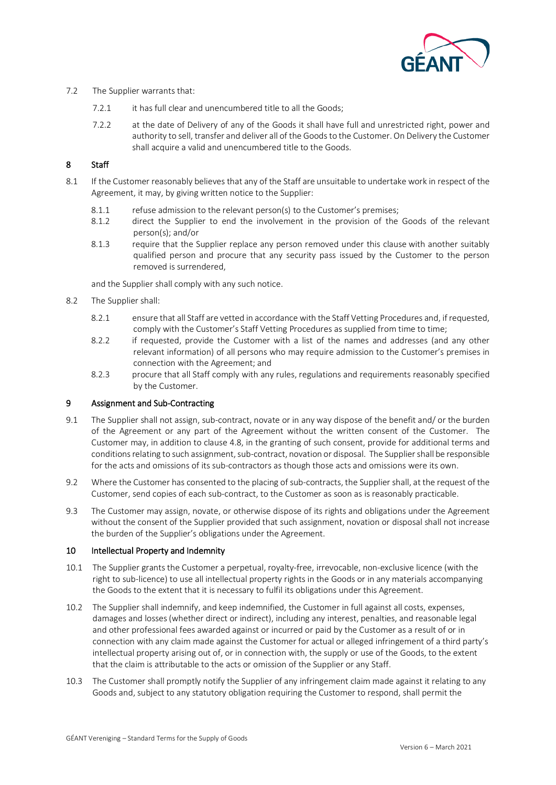

## 7.2 The Supplier warrants that:

- 7.2.1 it has full clear and unencumbered title to all the Goods;
- 7.2.2 at the date of Delivery of any of the Goods it shall have full and unrestricted right, power and authority to sell, transfer and deliver all of the Goods to the Customer. On Delivery the Customer shall acquire a valid and unencumbered title to the Goods.

## <span id="page-4-2"></span>8 Staff

- 8.1 If the Customer reasonably believes that any of the Staff are unsuitable to undertake work in respect of the Agreement, it may, by giving written notice to the Supplier:
	- 8.1.1 refuse admission to the relevant person(s) to the Customer's premises;
	- 8.1.2 direct the Supplier to end the involvement in the provision of the Goods of the relevant person(s); and/or
	- 8.1.3 require that the Supplier replace any person removed under this clause with another suitably qualified person and procure that any security pass issued by the Customer to the person removed is surrendered,

and the Supplier shall comply with any such notice.

- <span id="page-4-1"></span>8.2 The Supplier shall:
	- 8.2.1 ensure that all Staff are vetted in accordance with the Staff Vetting Procedures and, if requested, comply with the Customer's Staff Vetting Procedures as supplied from time to time;
	- 8.2.2 if requested, provide the Customer with a list of the names and addresses (and any other relevant information) of all persons who may require admission to the Customer's premises in connection with the Agreement; and
	- 8.2.3 procure that all Staff comply with any rules, regulations and requirements reasonably specified by the Customer.

## 9 Assignment and Sub-Contracting

- 9.1 The Supplier shall not assign, sub-contract, novate or in any way dispose of the benefit and/ or the burden of the Agreement or any part of the Agreement without the written consent of the Customer. The Customer may, in addition to clause 4.8, in the granting of such consent, provide for additional terms and conditions relating to such assignment, sub-contract, novation or disposal. The Supplier shall be responsible for the acts and omissions of its sub-contractors as though those acts and omissions were its own.
- 9.2 Where the Customer has consented to the placing of sub-contracts, the Supplier shall, at the request of the Customer, send copies of each sub-contract, to the Customer as soon as is reasonably practicable.
- 9.3 The Customer may assign, novate, or otherwise dispose of its rights and obligations under the Agreement without the consent of the Supplier provided that such assignment, novation or disposal shall not increase the burden of the Supplier's obligations under the Agreement.

## 10 Intellectual Property and Indemnity

- <span id="page-4-0"></span>10.1 The Supplier grants the Customer a perpetual, royalty-free, irrevocable, non-exclusive licence (with the right to sub-licence) to use all intellectual property rights in the Goods or in any materials accompanying the Goods to the extent that it is necessary to fulfil its obligations under this Agreement.
- 10.2 The Supplier shall indemnify, and keep indemnified, the Customer in full against all costs, expenses, damages and losses (whether direct or indirect), including any interest, penalties, and reasonable legal and other professional fees awarded against or incurred or paid by the Customer as a result of or in connection with any claim made against the Customer for actual or alleged infringement of a third party's intellectual property arising out of, or in connection with, the supply or use of the Goods, to the extent that the claim is attributable to the acts or omission of the Supplier or any Staff.
- 10.3 The Customer shall promptly notify the Supplier of any infringement claim made against it relating to any Goods and, subject to any statutory obligation requiring the Customer to respond, shall permit the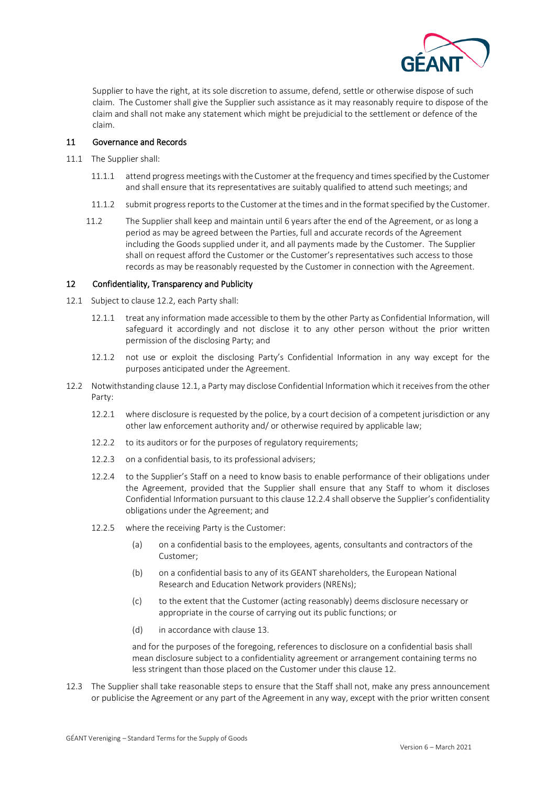

Supplier to have the right, at its sole discretion to assume, defend, settle or otherwise dispose of such claim. The Customer shall give the Supplier such assistance as it may reasonably require to dispose of the claim and shall not make any statement which might be prejudicial to the settlement or defence of the claim.

## 11 Governance and Records

- <span id="page-5-3"></span>11.1 The Supplier shall:
	- 11.1.1 attend progress meetings with the Customer at the frequency and times specified by the Customer and shall ensure that its representatives are suitably qualified to attend such meetings; and
	- 11.1.2 submit progress reports to the Customer at the times and in the format specified by the Customer.
	- 11.2 The Supplier shall keep and maintain until 6 years after the end of the Agreement, or as long a period as may be agreed between the Parties, full and accurate records of the Agreement including the Goods supplied under it, and all payments made by the Customer. The Supplier shall on request afford the Customer or the Customer's representatives such access to those records as may be reasonably requested by the Customer in connection with the Agreement.

## <span id="page-5-2"></span>12 Confidentiality, Transparency and Publicity

- <span id="page-5-1"></span>12.1 Subject to clause [12.2,](#page-5-0) each Party shall:
	- 12.1.1 treat any information made accessible to them by the other Party as Confidential Information, will safeguard it accordingly and not disclose it to any other person without the prior written permission of the disclosing Party; and
	- 12.1.2 not use or exploit the disclosing Party's Confidential Information in any way except for the purposes anticipated under the Agreement.
- <span id="page-5-0"></span>12.2 Notwithstanding clause [12.1,](#page-5-1) a Party may disclose Confidential Information which it receives from the other Party:
	- 12.2.1 where disclosure is requested by the police, by a court decision of a competent jurisdiction or any other law enforcement authority and/ or otherwise required by applicable law;
	- 12.2.2 to its auditors or for the purposes of regulatory requirements;
	- 12.2.3 on a confidential basis, to its professional advisers;
	- 12.2.4 to the Supplier's Staff on a need to know basis to enable performance of their obligations under the Agreement, provided that the Supplier shall ensure that any Staff to whom it discloses Confidential Information pursuant to this clause 12.2.4 shall observe the Supplier's confidentiality obligations under the Agreement; and
	- 12.2.5 where the receiving Party is the Customer:
		- (a) on a confidential basis to the employees, agents, consultants and contractors of the Customer;
		- (b) on a confidential basis to any of its GEANT shareholders, the European National Research and Education Network providers (NRENs);
		- (c) to the extent that the Customer (acting reasonably) deems disclosure necessary or appropriate in the course of carrying out its public functions; or
		- (d) in accordance with clause 13.

and for the purposes of the foregoing, references to disclosure on a confidential basis shall mean disclosure subject to a confidentiality agreement or arrangement containing terms no less stringent than those placed on the Customer under this clause 12.

12.3 The Supplier shall take reasonable steps to ensure that the Staff shall not, make any press announcement or publicise the Agreement or any part of the Agreement in any way, except with the prior written consent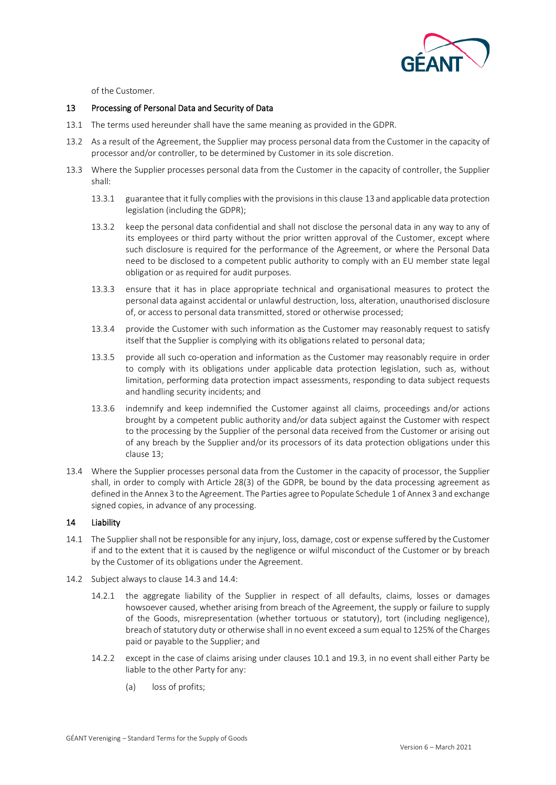

of the Customer.

## <span id="page-6-0"></span>13 Processing of Personal Data and Security of Data

- 13.1 The terms used hereunder shall have the same meaning as provided in the GDPR.
- 13.2 As a result of the Agreement, the Supplier may process personal data from the Customer in the capacity of processor and/or controller, to be determined by Customer in its sole discretion.
- 13.3 Where the Supplier processes personal data from the Customer in the capacity of controller, the Supplier shall:
	- 13.3.1 guarantee that it fully complies with the provisions in this clause 13 and applicable data protection legislation (including the GDPR);
	- 13.3.2 keep the personal data confidential and shall not disclose the personal data in any way to any of its employees or third party without the prior written approval of the Customer, except where such disclosure is required for the performance of the Agreement, or where the Personal Data need to be disclosed to a competent public authority to comply with an EU member state legal obligation or as required for audit purposes.
	- 13.3.3 ensure that it has in place appropriate technical and organisational measures to protect the personal data against accidental or unlawful destruction, loss, alteration, unauthorised disclosure of, or access to personal data transmitted, stored or otherwise processed;
	- 13.3.4 provide the Customer with such information as the Customer may reasonably request to satisfy itself that the Supplier is complying with its obligations related to personal data;
	- 13.3.5 provide all such co-operation and information as the Customer may reasonably require in order to comply with its obligations under applicable data protection legislation, such as, without limitation, performing data protection impact assessments, responding to data subject requests and handling security incidents; and
	- 13.3.6 indemnify and keep indemnified the Customer against all claims, proceedings and/or actions brought by a competent public authority and/or data subject against the Customer with respect to the processing by the Supplier of the personal data received from the Customer or arising out of any breach by the Supplier and/or its processors of its data protection obligations under this clause 13;
- 13.4 Where the Supplier processes personal data from the Customer in the capacity of processor, the Supplier shall, in order to comply with Article 28(3) of the GDPR, be bound by the data processing agreement as defined in the Annex 3 to the Agreement. The Parties agree to Populate Schedule 1 of Annex 3 and exchange signed copies, in advance of any processing.

## <span id="page-6-1"></span>14 Liability

- 14.1 The Supplier shall not be responsible for any injury, loss, damage, cost or expense suffered by the Customer if and to the extent that it is caused by the negligence or wilful misconduct of the Customer or by breach by the Customer of its obligations under the Agreement.
- 14.2 Subject always to clause [14.3](#page-7-0) and 14.4:
	- 14.2.1 the aggregate liability of the Supplier in respect of all defaults, claims, losses or damages howsoever caused, whether arising from breach of the Agreement, the supply or failure to supply of the Goods, misrepresentation (whether tortuous or statutory), tort (including negligence), breach of statutory duty or otherwise shall in no event exceed a sum equal to 125% of the Charges paid or payable to the Supplier; and
	- 14.2.2 except in the case of claims arising under clauses [10.1](#page-4-0) and 19.3, in no event shall either Party be liable to the other Party for any:
		- (a) loss of profits;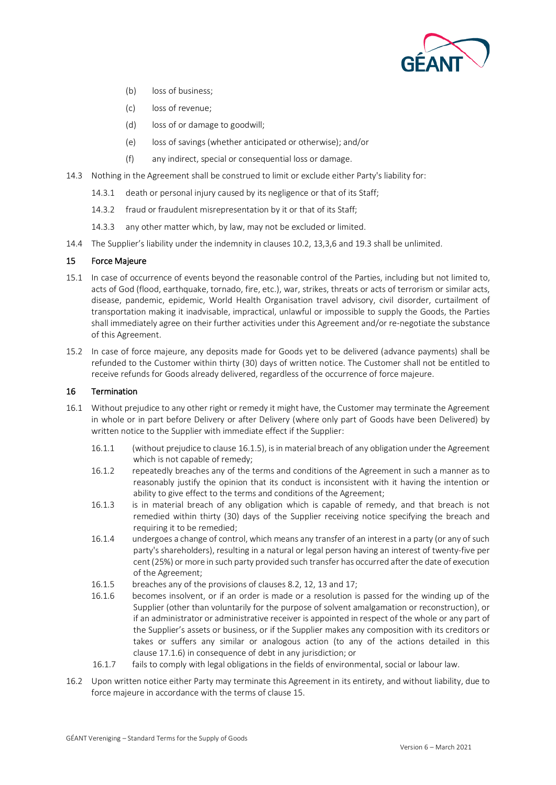

- (b) loss of business;
- (c) loss of revenue;
- (d) loss of or damage to goodwill;
- (e) loss of savings (whether anticipated or otherwise); and/or
- (f) any indirect, special or consequential loss or damage.
- <span id="page-7-0"></span>14.3 Nothing in the Agreement shall be construed to limit or exclude either Party's liability for:
	- 14.3.1 death or personal injury caused by its negligence or that of its Staff;
	- 14.3.2 fraud or fraudulent misrepresentation by it or that of its Staff;
	- 14.3.3 any other matter which, by law, may not be excluded or limited.
- 14.4 The Supplier's liability under the indemnity in clauses 10.2, 13,3,6 and 19.3 shall be unlimited.

## <span id="page-7-3"></span>15 Force Majeure

- <span id="page-7-4"></span>15.1 In case of occurrence of events beyond the reasonable control of the Parties, including but not limited to, acts of God (flood, earthquake, tornado, fire, etc.), war, strikes, threats or acts of terrorism or similar acts, disease, pandemic, epidemic, World Health Organisation travel advisory, civil disorder, curtailment of transportation making it inadvisable, impractical, unlawful or impossible to supply the Goods, the Parties shall immediately agree on their further activities under this Agreement and/or re-negotiate the substance of this Agreement.
- 15.2 In case of force majeure, any deposits made for Goods yet to be delivered (advance payments) shall be refunded to the Customer within thirty (30) days of written notice. The Customer shall not be entitled to receive refunds for Goods already delivered, regardless of the occurrence of force majeure.

## 16 Termination

- <span id="page-7-2"></span>16.1 Without prejudice to any other right or remedy it might have, the Customer may terminate the Agreement in whole or in part before Delivery or after Delivery (where only part of Goods have been Delivered) by written notice to the Supplier with immediate effect if the Supplier:
	- 16.1.1 (without prejudice to clause [16.1.5\)](#page-7-1), is in material breach of any obligation under the Agreement which is not capable of remedy;
	- 16.1.2 repeatedly breaches any of the terms and conditions of the Agreement in such a manner as to reasonably justify the opinion that its conduct is inconsistent with it having the intention or ability to give effect to the terms and conditions of the Agreement;
	- 16.1.3 is in material breach of any obligation which is capable of remedy, and that breach is not remedied within thirty (30) days of the Supplier receiving notice specifying the breach and requiring it to be remedied:
	- 16.1.4 undergoes a change of control, which means any transfer of an interest in a party (or any of such party's shareholders), resulting in a natural or legal person having an interest of twenty-five per cent (25%) or more in such party provided such transfer has occurred after the date of execution of the Agreement;
	- 16.1.5 breaches any of the provisions of clause[s 8.2,](#page-4-1) [12,](#page-5-2) 13 and [17;](#page-8-1)
	- 16.1.6 becomes insolvent, or if an order is made or a resolution is passed for the winding up of the Supplier (other than voluntarily for the purpose of solvent amalgamation or reconstruction), or if an administrator or administrative receiver is appointed in respect of the whole or any part of the Supplier's assets or business, or if the Supplier makes any composition with its creditors or takes or suffers any similar or analogous action (to any of the actions detailed in this clause 17.1.6) in consequence of debt in any jurisdiction; or
	- 16.1.7 fails to comply with legal obligations in the fields of environmental, social or labour law.
- <span id="page-7-1"></span>16.2 Upon written notice either Party may terminate this Agreement in its entirety, and without liability, due to force majeure in accordance with the terms of clause 15.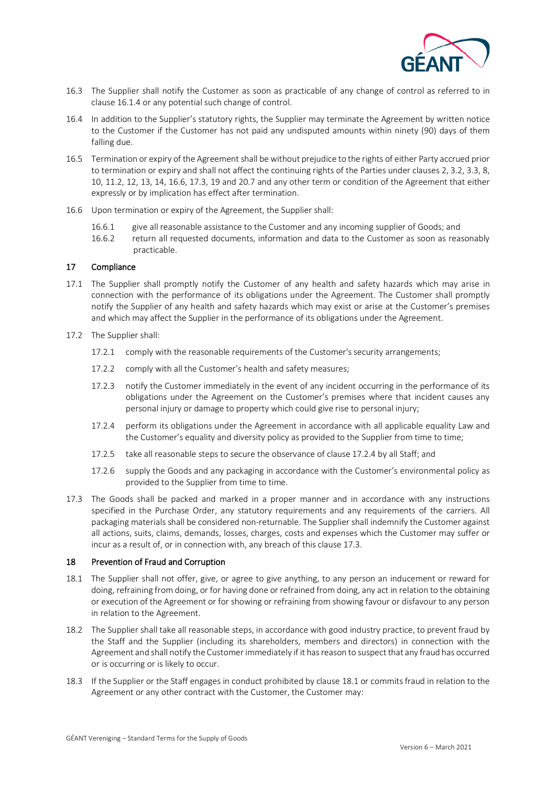

- 16.3 The Supplier shall notify the Customer as soon as practicable of any change of control as referred to in claus[e 16.1.4](#page-7-2) or any potential such change of control.
- <span id="page-8-0"></span>16.4 In addition to the Supplier's statutory rights, the Supplier may terminate the Agreement by written notice to the Customer if the Customer has not paid any undisputed amounts within ninety (90) days of them falling due.
- 16.5 Termination or expiry of the Agreement shall be without prejudice to the rights of either Party accrued prior to termination or expiry and shall not affect the continuing rights of the Parties under clauses [2,](#page-1-1) [3.2,](#page-1-2) [3.3,](#page-1-3) [8,](#page-4-2) 10, [11.2,](#page-5-3) [12,](#page-5-2) [13,](#page-6-0) [14,](#page-6-1) 16.6, 17.3[, 19](#page-9-0) an[d 20.7](#page-9-1) and any other term or condition of the Agreement that either expressly or by implication has effect after termination.
- 16.6 Upon termination or expiry of the Agreement, the Supplier shall:
	- 16.6.1 give all reasonable assistance to the Customer and any incoming supplier of Goods; and
	- 16.6.2 return all requested documents, information and data to the Customer as soon as reasonably practicable.

## <span id="page-8-1"></span>17 Compliance

- 17.1 The Supplier shall promptly notify the Customer of any health and safety hazards which may arise in connection with the performance of its obligations under the Agreement. The Customer shall promptly notify the Supplier of any health and safety hazards which may exist or arise at the Customer's premises and which may affect the Supplier in the performance of its obligations under the Agreement.
- 17.2 The Supplier shall:
	- 17.2.1 comply with the reasonable requirements of the Customer's security arrangements;
	- 17.2.2 comply with all the Customer's health and safety measures;
	- 17.2.3 notify the Customer immediately in the event of any incident occurring in the performance of its obligations under the Agreement on the Customer's premises where that incident causes any personal injury or damage to property which could give rise to personal injury;
	- 17.2.4 perform its obligations under the Agreement in accordance with all applicable equality Law and the Customer's equality and diversity policy as provided to the Supplier from time to time;
	- 17.2.5 take all reasonable steps to secure the observance of clause [17.2.4](#page-8-2) by all Staff; and
	- 17.2.6 supply the Goods and any packaging in accordance with the Customer's environmental policy as provided to the Supplier from time to time.
- <span id="page-8-3"></span><span id="page-8-2"></span>17.3 The Goods shall be packed and marked in a proper manner and in accordance with any instructions specified in the Purchase Order, any statutory requirements and any requirements of the carriers. All packaging materials shall be considered non-returnable. The Supplier shall indemnify the Customer against all actions, suits, claims, demands, losses, charges, costs and expenses which the Customer may suffer or incur as a result of, or in connection with, any breach of this clause [17.3.](#page-8-3)

## 18 Prevention of Fraud and Corruption

- <span id="page-8-4"></span>18.1 The Supplier shall not offer, give, or agree to give anything, to any person an inducement or reward for doing, refraining from doing, or for having done or refrained from doing, any act in relation to the obtaining or execution of the Agreement or for showing or refraining from showing favour or disfavour to any person in relation to the Agreement.
- 18.2 The Supplier shall take all reasonable steps, in accordance with good industry practice, to prevent fraud by the Staff and the Supplier (including its shareholders, members and directors) in connection with the Agreement and shall notify the Customer immediately if it has reason to suspect that any fraud has occurred or is occurring or is likely to occur.
- 18.3 If the Supplier or the Staff engages in conduct prohibited by clause [18.1](#page-8-4) or commits fraud in relation to the Agreement or any other contract with the Customer, the Customer may: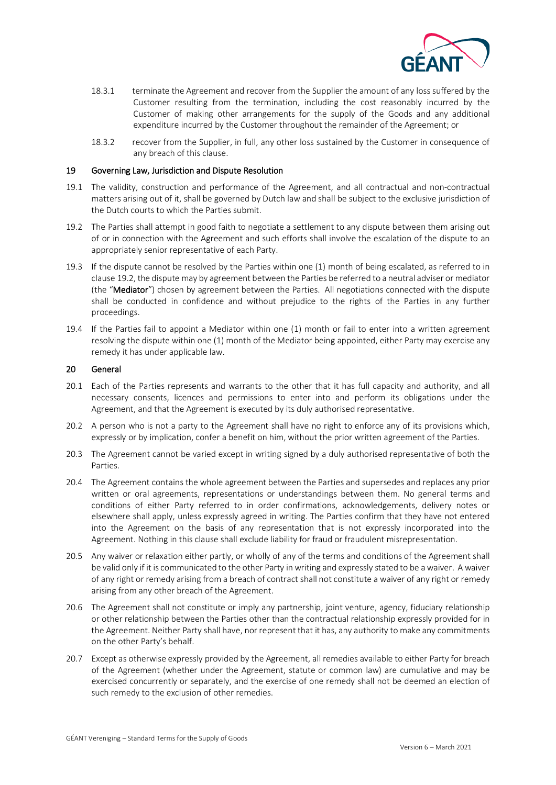

- 18.3.1 terminate the Agreement and recover from the Supplier the amount of any loss suffered by the Customer resulting from the termination, including the cost reasonably incurred by the Customer of making other arrangements for the supply of the Goods and any additional expenditure incurred by the Customer throughout the remainder of the Agreement; or
- 18.3.2 recover from the Supplier, in full, any other loss sustained by the Customer in consequence of any breach of this clause.

#### <span id="page-9-0"></span>19 Governing Law, Jurisdiction and Dispute Resolution

- 19.1 The validity, construction and performance of the Agreement, and all contractual and non-contractual matters arising out of it, shall be governed by Dutch law and shall be subject to the exclusive jurisdiction of the Dutch courts to which the Parties submit.
- 19.2 The Parties shall attempt in good faith to negotiate a settlement to any dispute between them arising out of or in connection with the Agreement and such efforts shall involve the escalation of the dispute to an appropriately senior representative of each Party.
- 19.3 If the dispute cannot be resolved by the Parties within one (1) month of being escalated, as referred to in clause 19.2, the dispute may by agreement between the Parties be referred to a neutral adviser or mediator (the "Mediator") chosen by agreement between the Parties. All negotiations connected with the dispute shall be conducted in confidence and without prejudice to the rights of the Parties in any further proceedings.
- 19.4 If the Parties fail to appoint a Mediator within one (1) month or fail to enter into a written agreement resolving the dispute within one (1) month of the Mediator being appointed, either Party may exercise any remedy it has under applicable law.

#### 20 General

- 20.1 Each of the Parties represents and warrants to the other that it has full capacity and authority, and all necessary consents, licences and permissions to enter into and perform its obligations under the Agreement, and that the Agreement is executed by its duly authorised representative.
- 20.2 A person who is not a party to the Agreement shall have no right to enforce any of its provisions which, expressly or by implication, confer a benefit on him, without the prior written agreement of the Parties.
- 20.3 The Agreement cannot be varied except in writing signed by a duly authorised representative of both the Parties.
- 20.4 The Agreement contains the whole agreement between the Parties and supersedes and replaces any prior written or oral agreements, representations or understandings between them. No general terms and conditions of either Party referred to in order confirmations, acknowledgements, delivery notes or elsewhere shall apply, unless expressly agreed in writing. The Parties confirm that they have not entered into the Agreement on the basis of any representation that is not expressly incorporated into the Agreement. Nothing in this clause shall exclude liability for fraud or fraudulent misrepresentation.
- 20.5 Any waiver or relaxation either partly, or wholly of any of the terms and conditions of the Agreement shall be valid only if it is communicated to the other Party in writing and expressly stated to be a waiver. A waiver of any right or remedy arising from a breach of contract shall not constitute a waiver of any right or remedy arising from any other breach of the Agreement.
- 20.6 The Agreement shall not constitute or imply any partnership, joint venture, agency, fiduciary relationship or other relationship between the Parties other than the contractual relationship expressly provided for in the Agreement. Neither Party shall have, nor represent that it has, any authority to make any commitments on the other Party's behalf.
- <span id="page-9-1"></span>20.7 Except as otherwise expressly provided by the Agreement, all remedies available to either Party for breach of the Agreement (whether under the Agreement, statute or common law) are cumulative and may be exercised concurrently or separately, and the exercise of one remedy shall not be deemed an election of such remedy to the exclusion of other remedies.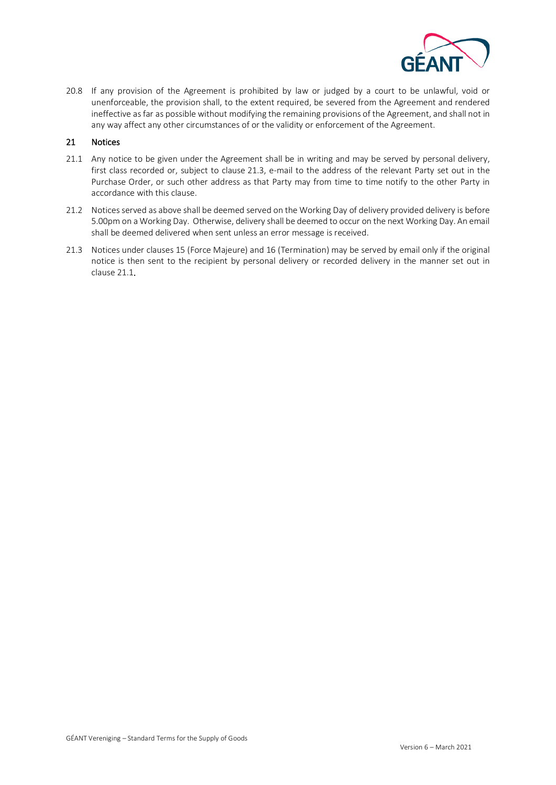

20.8 If any provision of the Agreement is prohibited by law or judged by a court to be unlawful, void or unenforceable, the provision shall, to the extent required, be severed from the Agreement and rendered ineffective as far as possible without modifying the remaining provisions of the Agreement, and shall not in any way affect any other circumstances of or the validity or enforcement of the Agreement.

#### 21 Notices

- <span id="page-10-1"></span>21.1 Any notice to be given under the Agreement shall be in writing and may be served by personal delivery, first class recorded or, subject to clause [21.3,](#page-10-0) e-mail to the address of the relevant Party set out in the Purchase Order, or such other address as that Party may from time to time notify to the other Party in accordance with this clause.
- 21.2 Notices served as above shall be deemed served on the Working Day of delivery provided delivery is before 5.00pm on a Working Day. Otherwise, delivery shall be deemed to occur on the next Working Day. An email shall be deemed delivered when sent unless an error message is received.
- <span id="page-10-0"></span>21.3 Notices under clause[s 15](#page-7-3) (Force Majeure) and [16](#page-7-4) (Termination) may be served by email only if the original notice is then sent to the recipient by personal delivery or recorded delivery in the manner set out in clause [21.1.](#page-10-1)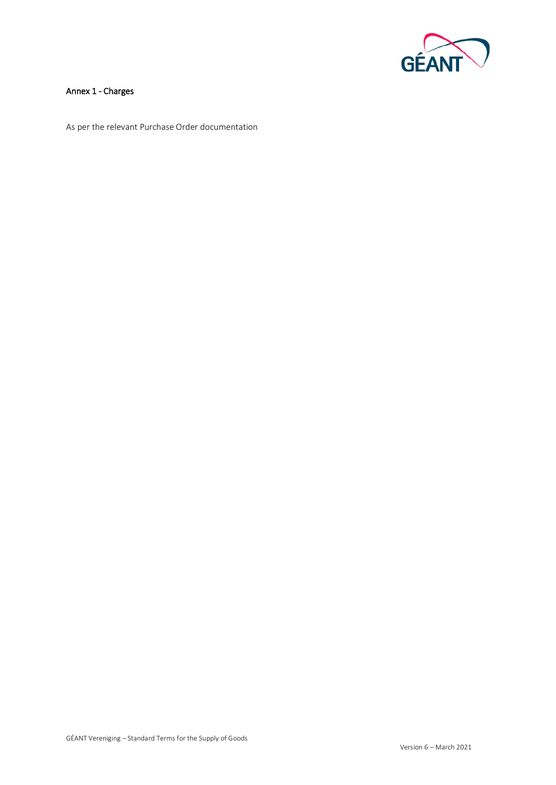

## Annex 1 - Charges

As per the relevant Purchase Order documentation